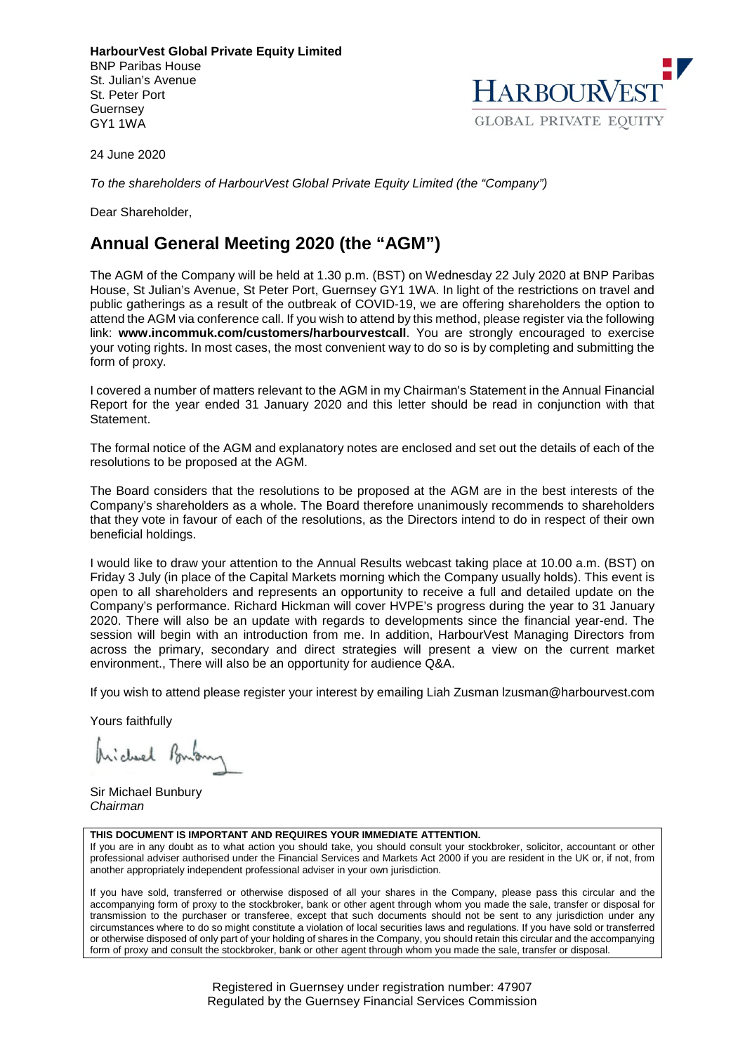**HarbourVest Global Private Equity Limited**  BNP Paribas House St. Julian's Avenue St. Peter Port Guernsey GY1 1WA



24 June 2020

*To the shareholders of HarbourVest Global Private Equity Limited (the "Company")* 

Dear Shareholder,

## **Annual General Meeting 2020 (the "AGM")**

The AGM of the Company will be held at 1.30 p.m. (BST) on Wednesday 22 July 2020 at BNP Paribas House, St Julian's Avenue, St Peter Port, Guernsey GY1 1WA. In light of the restrictions on travel and public gatherings as a result of the outbreak of COVID-19, we are offering shareholders the option to attend the AGM via conference call. If you wish to attend by this method, please register via the following link: **www.incommuk.com/customers/harbourvestcall**. You are strongly encouraged to exercise your voting rights. In most cases, the most convenient way to do so is by completing and submitting the form of proxy.

I covered a number of matters relevant to the AGM in my Chairman's Statement in the Annual Financial Report for the year ended 31 January 2020 and this letter should be read in conjunction with that Statement.

The formal notice of the AGM and explanatory notes are enclosed and set out the details of each of the resolutions to be proposed at the AGM.

The Board considers that the resolutions to be proposed at the AGM are in the best interests of the Company's shareholders as a whole. The Board therefore unanimously recommends to shareholders that they vote in favour of each of the resolutions, as the Directors intend to do in respect of their own beneficial holdings.

I would like to draw your attention to the Annual Results webcast taking place at 10.00 a.m. (BST) on Friday 3 July (in place of the Capital Markets morning which the Company usually holds). This event is open to all shareholders and represents an opportunity to receive a full and detailed update on the Company's performance. Richard Hickman will cover HVPE's progress during the year to 31 January 2020. There will also be an update with regards to developments since the financial year-end. The session will begin with an introduction from me. In addition, HarbourVest Managing Directors from across the primary, secondary and direct strategies will present a view on the current market environment., There will also be an opportunity for audience Q&A.

If you wish to attend please register your interest by emailing Liah Zusman lzusman@harbourvest.com

Yours faithfully

Michael Bonton

Sir Michael Bunbury *Chairman* 

#### **THIS DOCUMENT IS IMPORTANT AND REQUIRES YOUR IMMEDIATE ATTENTION.**

If you are in any doubt as to what action you should take, you should consult your stockbroker, solicitor, accountant or other professional adviser authorised under the Financial Services and Markets Act 2000 if you are resident in the UK or, if not, from another appropriately independent professional adviser in your own jurisdiction.

If you have sold, transferred or otherwise disposed of all your shares in the Company, please pass this circular and the accompanying form of proxy to the stockbroker, bank or other agent through whom you made the sale, transfer or disposal for transmission to the purchaser or transferee, except that such documents should not be sent to any jurisdiction under any circumstances where to do so might constitute a violation of local securities laws and regulations. If you have sold or transferred or otherwise disposed of only part of your holding of shares in the Company, you should retain this circular and the accompanying form of proxy and consult the stockbroker, bank or other agent through whom you made the sale, transfer or disposal.

> Registered in Guernsey under registration number: 47907 Regulated by the Guernsey Financial Services Commission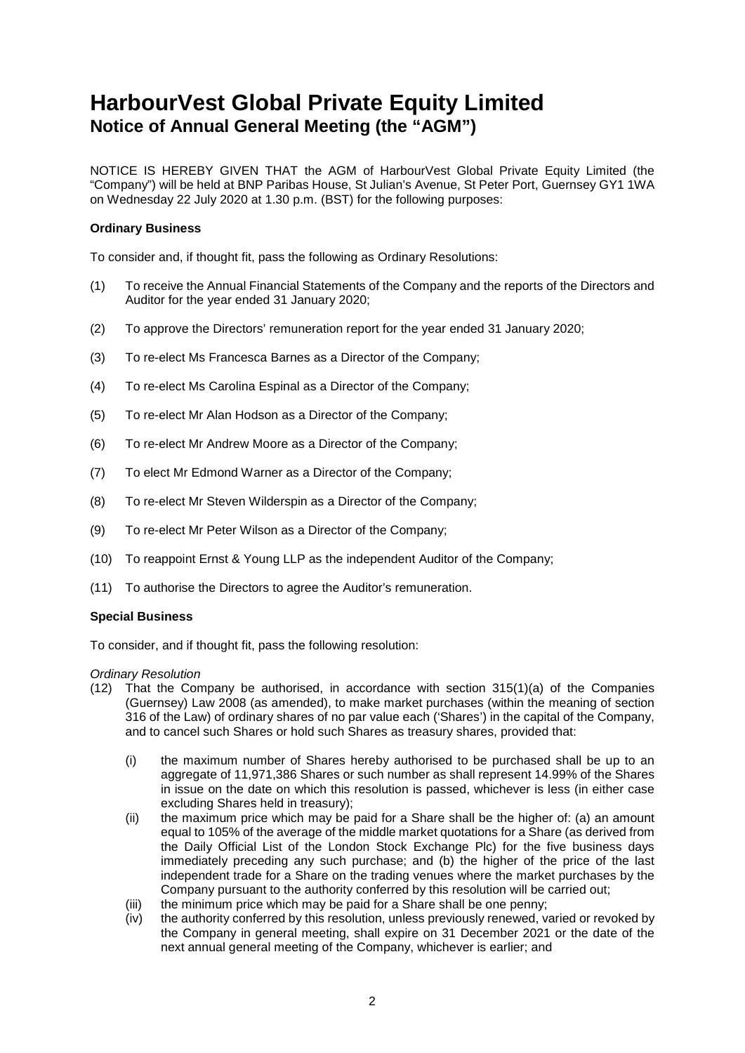# **HarbourVest Global Private Equity Limited Notice of Annual General Meeting (the "AGM")**

NOTICE IS HEREBY GIVEN THAT the AGM of HarbourVest Global Private Equity Limited (the "Company") will be held at BNP Paribas House, St Julian's Avenue, St Peter Port, Guernsey GY1 1WA on Wednesday 22 July 2020 at 1.30 p.m. (BST) for the following purposes:

## **Ordinary Business**

To consider and, if thought fit, pass the following as Ordinary Resolutions:

- (1) To receive the Annual Financial Statements of the Company and the reports of the Directors and Auditor for the year ended 31 January 2020;
- (2) To approve the Directors' remuneration report for the year ended 31 January 2020;
- (3) To re-elect Ms Francesca Barnes as a Director of the Company;
- (4) To re-elect Ms Carolina Espinal as a Director of the Company;
- (5) To re-elect Mr Alan Hodson as a Director of the Company;
- (6) To re-elect Mr Andrew Moore as a Director of the Company;
- (7) To elect Mr Edmond Warner as a Director of the Company;
- (8) To re-elect Mr Steven Wilderspin as a Director of the Company;
- (9) To re-elect Mr Peter Wilson as a Director of the Company;
- (10) To reappoint Ernst & Young LLP as the independent Auditor of the Company;
- (11) To authorise the Directors to agree the Auditor's remuneration.

## **Special Business**

To consider, and if thought fit, pass the following resolution:

## *Ordinary Resolution*

- (12) That the Company be authorised, in accordance with section 315(1)(a) of the Companies (Guernsey) Law 2008 (as amended), to make market purchases (within the meaning of section 316 of the Law) of ordinary shares of no par value each ('Shares') in the capital of the Company, and to cancel such Shares or hold such Shares as treasury shares, provided that:
	- (i) the maximum number of Shares hereby authorised to be purchased shall be up to an aggregate of 11,971,386 Shares or such number as shall represent 14.99% of the Shares in issue on the date on which this resolution is passed, whichever is less (in either case excluding Shares held in treasury);
	- (ii) the maximum price which may be paid for a Share shall be the higher of: (a) an amount equal to 105% of the average of the middle market quotations for a Share (as derived from the Daily Official List of the London Stock Exchange Plc) for the five business days immediately preceding any such purchase; and (b) the higher of the price of the last independent trade for a Share on the trading venues where the market purchases by the Company pursuant to the authority conferred by this resolution will be carried out;
	- (iii) the minimum price which may be paid for a Share shall be one penny;
	- (iv) the authority conferred by this resolution, unless previously renewed, varied or revoked by the Company in general meeting, shall expire on 31 December 2021 or the date of the next annual general meeting of the Company, whichever is earlier; and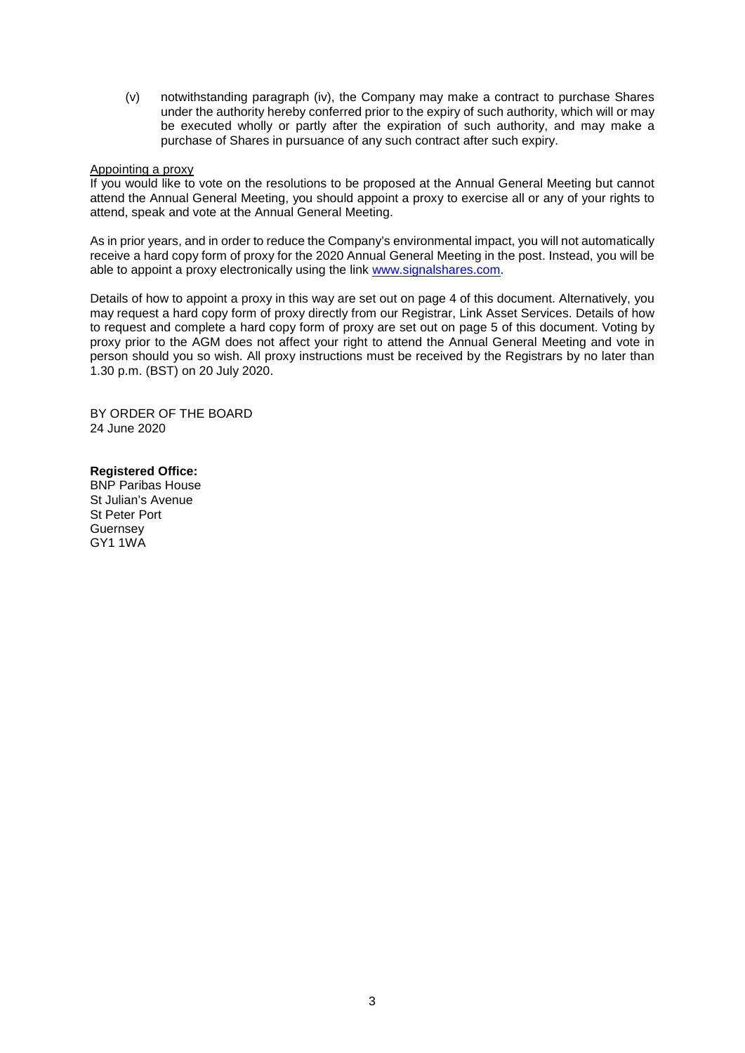(v) notwithstanding paragraph (iv), the Company may make a contract to purchase Shares under the authority hereby conferred prior to the expiry of such authority, which will or may be executed wholly or partly after the expiration of such authority, and may make a purchase of Shares in pursuance of any such contract after such expiry.

## Appointing a proxy

If you would like to vote on the resolutions to be proposed at the Annual General Meeting but cannot attend the Annual General Meeting, you should appoint a proxy to exercise all or any of your rights to attend, speak and vote at the Annual General Meeting.

As in prior years, and in order to reduce the Company's environmental impact, you will not automatically receive a hard copy form of proxy for the 2020 Annual General Meeting in the post. Instead, you will be able to appoint a proxy electronically using the link www.signalshares.com.

Details of how to appoint a proxy in this way are set out on page 4 of this document. Alternatively, you may request a hard copy form of proxy directly from our Registrar, Link Asset Services. Details of how to request and complete a hard copy form of proxy are set out on page 5 of this document. Voting by proxy prior to the AGM does not affect your right to attend the Annual General Meeting and vote in person should you so wish. All proxy instructions must be received by the Registrars by no later than 1.30 p.m. (BST) on 20 July 2020.

BY ORDER OF THE BOARD 24 June 2020

## **Registered Office:**

BNP Paribas House St Julian's Avenue St Peter Port **Guernsey** GY1 1WA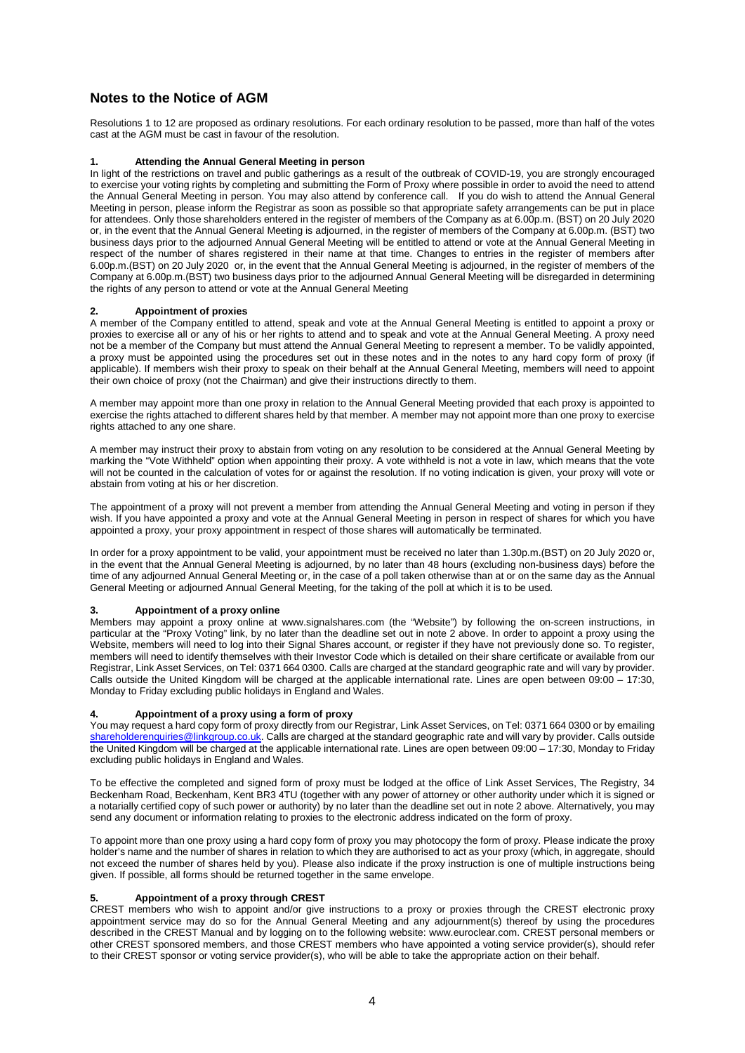## **Notes to the Notice of AGM**

Resolutions 1 to 12 are proposed as ordinary resolutions. For each ordinary resolution to be passed, more than half of the votes cast at the AGM must be cast in favour of the resolution.

#### **1. Attending the Annual General Meeting in person**

In light of the restrictions on travel and public gatherings as a result of the outbreak of COVID-19, you are strongly encouraged to exercise your voting rights by completing and submitting the Form of Proxy where possible in order to avoid the need to attend the Annual General Meeting in person. You may also attend by conference call. If you do wish to attend the Annual General Meeting in person, please inform the Registrar as soon as possible so that appropriate safety arrangements can be put in place for attendees. Only those shareholders entered in the register of members of the Company as at 6.00p.m. (BST) on 20 July 2020 or, in the event that the Annual General Meeting is adjourned, in the register of members of the Company at 6.00p.m. (BST) two business days prior to the adjourned Annual General Meeting will be entitled to attend or vote at the Annual General Meeting in respect of the number of shares registered in their name at that time. Changes to entries in the register of members after 6.00p.m.(BST) on 20 July 2020 or, in the event that the Annual General Meeting is adjourned, in the register of members of the Company at 6.00p.m.(BST) two business days prior to the adjourned Annual General Meeting will be disregarded in determining the rights of any person to attend or vote at the Annual General Meeting

#### **2. Appointment of proxies**

A member of the Company entitled to attend, speak and vote at the Annual General Meeting is entitled to appoint a proxy or proxies to exercise all or any of his or her rights to attend and to speak and vote at the Annual General Meeting. A proxy need not be a member of the Company but must attend the Annual General Meeting to represent a member. To be validly appointed, a proxy must be appointed using the procedures set out in these notes and in the notes to any hard copy form of proxy (if applicable). If members wish their proxy to speak on their behalf at the Annual General Meeting, members will need to appoint their own choice of proxy (not the Chairman) and give their instructions directly to them.

A member may appoint more than one proxy in relation to the Annual General Meeting provided that each proxy is appointed to exercise the rights attached to different shares held by that member. A member may not appoint more than one proxy to exercise rights attached to any one share.

A member may instruct their proxy to abstain from voting on any resolution to be considered at the Annual General Meeting by marking the "Vote Withheld" option when appointing their proxy. A vote withheld is not a vote in law, which means that the vote will not be counted in the calculation of votes for or against the resolution. If no voting indication is given, your proxy will vote or abstain from voting at his or her discretion.

The appointment of a proxy will not prevent a member from attending the Annual General Meeting and voting in person if they wish. If you have appointed a proxy and vote at the Annual General Meeting in person in respect of shares for which you have appointed a proxy, your proxy appointment in respect of those shares will automatically be terminated.

In order for a proxy appointment to be valid, your appointment must be received no later than 1.30p.m.(BST) on 20 July 2020 or, in the event that the Annual General Meeting is adjourned, by no later than 48 hours (excluding non-business days) before the time of any adjourned Annual General Meeting or, in the case of a poll taken otherwise than at or on the same day as the Annual General Meeting or adjourned Annual General Meeting, for the taking of the poll at which it is to be used.

#### **3. Appointment of a proxy online**

Members may appoint a proxy online at www.signalshares.com (the "Website") by following the on-screen instructions, in particular at the "Proxy Voting" link, by no later than the deadline set out in note 2 above. In order to appoint a proxy using the Website, members will need to log into their Signal Shares account, or register if they have not previously done so. To register, members will need to identify themselves with their Investor Code which is detailed on their share certificate or available from our Registrar, Link Asset Services, on Tel: 0371 664 0300. Calls are charged at the standard geographic rate and will vary by provider. Calls outside the United Kingdom will be charged at the applicable international rate. Lines are open between 09:00 – 17:30, Monday to Friday excluding public holidays in England and Wales.

#### **4. Appointment of a proxy using a form of proxy**

You may request a hard copy form of proxy directly from our Registrar, Link Asset Services, on Tel: 0371 664 0300 or by emailing shareholderenquiries@linkgroup.co.uk. Calls are charged at the standard geographic rate and will vary by provider. Calls outside the United Kingdom will be charged at the applicable international rate. Lines are open between 09:00 – 17:30, Monday to Friday excluding public holidays in England and Wales.

To be effective the completed and signed form of proxy must be lodged at the office of Link Asset Services, The Registry, 34 Beckenham Road, Beckenham, Kent BR3 4TU (together with any power of attorney or other authority under which it is signed or a notarially certified copy of such power or authority) by no later than the deadline set out in note 2 above. Alternatively, you may send any document or information relating to proxies to the electronic address indicated on the form of proxy.

To appoint more than one proxy using a hard copy form of proxy you may photocopy the form of proxy. Please indicate the proxy holder's name and the number of shares in relation to which they are authorised to act as your proxy (which, in aggregate, should not exceed the number of shares held by you). Please also indicate if the proxy instruction is one of multiple instructions being given. If possible, all forms should be returned together in the same envelope.

#### **5. Appointment of a proxy through CREST**

CREST members who wish to appoint and/or give instructions to a proxy or proxies through the CREST electronic proxy appointment service may do so for the Annual General Meeting and any adjournment(s) thereof by using the procedures described in the CREST Manual and by logging on to the following website: www.euroclear.com. CREST personal members or other CREST sponsored members, and those CREST members who have appointed a voting service provider(s), should refer to their CREST sponsor or voting service provider(s), who will be able to take the appropriate action on their behalf.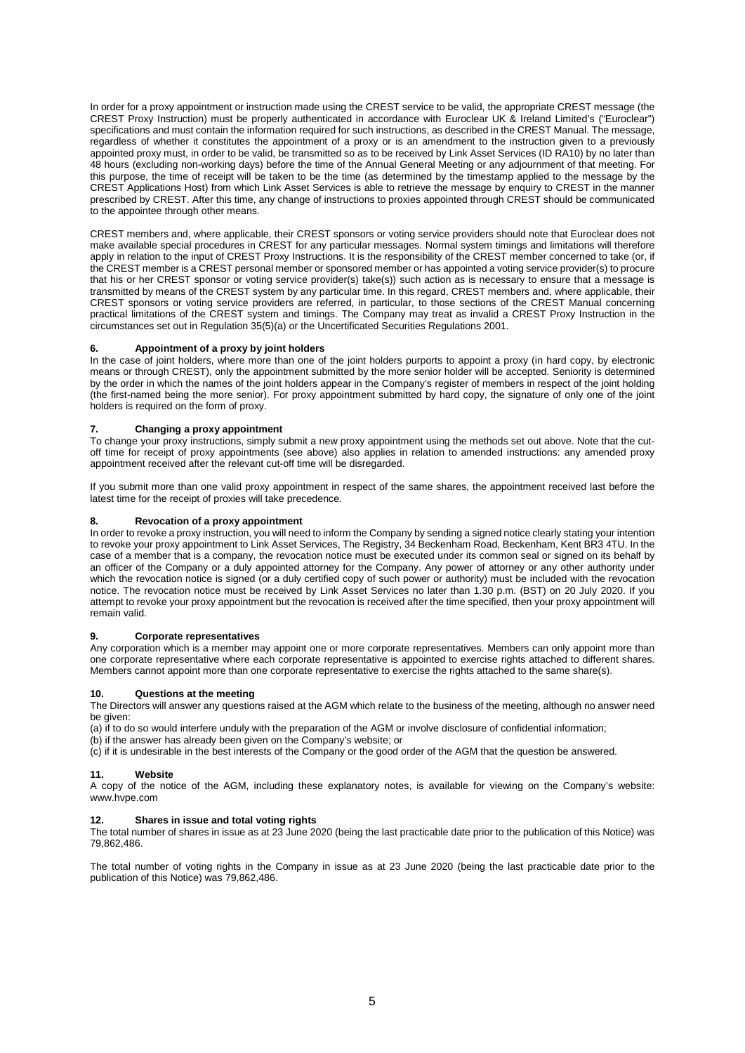In order for a proxy appointment or instruction made using the CREST service to be valid, the appropriate CREST message (the CREST Proxy Instruction) must be properly authenticated in accordance with Euroclear UK & Ireland Limited's ("Euroclear") specifications and must contain the information required for such instructions, as described in the CREST Manual. The message, regardless of whether it constitutes the appointment of a proxy or is an amendment to the instruction given to a previously appointed proxy must, in order to be valid, be transmitted so as to be received by Link Asset Services (ID RA10) by no later than 48 hours (excluding non-working days) before the time of the Annual General Meeting or any adjournment of that meeting. For this purpose, the time of receipt will be taken to be the time (as determined by the timestamp applied to the message by the CREST Applications Host) from which Link Asset Services is able to retrieve the message by enquiry to CREST in the manner prescribed by CREST. After this time, any change of instructions to proxies appointed through CREST should be communicated to the appointee through other means.

CREST members and, where applicable, their CREST sponsors or voting service providers should note that Euroclear does not make available special procedures in CREST for any particular messages. Normal system timings and limitations will therefore apply in relation to the input of CREST Proxy Instructions. It is the responsibility of the CREST member concerned to take (or, if the CREST member is a CREST personal member or sponsored member or has appointed a voting service provider(s) to procure that his or her CREST sponsor or voting service provider(s) take(s)) such action as is necessary to ensure that a message is transmitted by means of the CREST system by any particular time. In this regard, CREST members and, where applicable, their CREST sponsors or voting service providers are referred, in particular, to those sections of the CREST Manual concerning practical limitations of the CREST system and timings. The Company may treat as invalid a CREST Proxy Instruction in the circumstances set out in Regulation 35(5)(a) or the Uncertificated Securities Regulations 2001.

#### **6. Appointment of a proxy by joint holders**

In the case of joint holders, where more than one of the joint holders purports to appoint a proxy (in hard copy, by electronic means or through CREST), only the appointment submitted by the more senior holder will be accepted. Seniority is determined by the order in which the names of the joint holders appear in the Company's register of members in respect of the joint holding (the first-named being the more senior). For proxy appointment submitted by hard copy, the signature of only one of the joint holders is required on the form of proxy.

#### **7. Changing a proxy appointment**

To change your proxy instructions, simply submit a new proxy appointment using the methods set out above. Note that the cutoff time for receipt of proxy appointments (see above) also applies in relation to amended instructions: any amended proxy appointment received after the relevant cut-off time will be disregarded.

If you submit more than one valid proxy appointment in respect of the same shares, the appointment received last before the latest time for the receipt of proxies will take precedence.

#### **8. Revocation of a proxy appointment**

In order to revoke a proxy instruction, you will need to inform the Company by sending a signed notice clearly stating your intention to revoke your proxy appointment to Link Asset Services, The Registry, 34 Beckenham Road, Beckenham, Kent BR3 4TU. In the case of a member that is a company, the revocation notice must be executed under its common seal or signed on its behalf by an officer of the Company or a duly appointed attorney for the Company. Any power of attorney or any other authority under which the revocation notice is signed (or a duly certified copy of such power or authority) must be included with the revocation notice. The revocation notice must be received by Link Asset Services no later than 1.30 p.m. (BST) on 20 July 2020. If you attempt to revoke your proxy appointment but the revocation is received after the time specified, then your proxy appointment will remain valid.

#### **9. Corporate representatives**

Any corporation which is a member may appoint one or more corporate representatives. Members can only appoint more than one corporate representative where each corporate representative is appointed to exercise rights attached to different shares. Members cannot appoint more than one corporate representative to exercise the rights attached to the same share(s).

#### **10. Questions at the meeting**

The Directors will answer any questions raised at the AGM which relate to the business of the meeting, although no answer need be given:

(a) if to do so would interfere unduly with the preparation of the AGM or involve disclosure of confidential information;

(b) if the answer has already been given on the Company's website; or

 $(c)$  if it is undesirable in the best interests of the Company or the good order of the AGM that the question be answered.

#### **11. Website**

A copy of the notice of the AGM, including these explanatory notes, is available for viewing on the Company's website: www.hvpe.com

#### **12. Shares in issue and total voting rights**

The total number of shares in issue as at 23 June 2020 (being the last practicable date prior to the publication of this Notice) was 79,862,486.

The total number of voting rights in the Company in issue as at 23 June 2020 (being the last practicable date prior to the publication of this Notice) was 79,862,486.